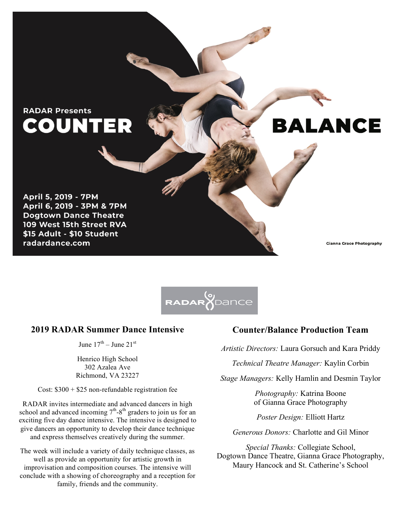## **RADAR Presents** COUNT

April 5, 2019 - 7PM April 6, 2019 - 3PM & 7PM **Dogtown Dance Theatre** 109 West 15th Street RVA \$15 Adult - \$10 Student radardance.com

BALANCE

**Gianna Grace Photography** 



#### **2019 RADAR Summer Dance Intensive**

June  $17<sup>th</sup>$  – June  $21<sup>st</sup>$ 

Henrico High School 302 Azalea Ave Richmond, VA 23227

Cost: \$300 + \$25 non-refundable registration fee

RADAR invites intermediate and advanced dancers in high school and advanced incoming  $7<sup>th</sup> - 8<sup>th</sup>$  graders to join us for an exciting five day dance intensive. The intensive is designed to give dancers an opportunity to develop their dance technique and express themselves creatively during the summer.

The week will include a variety of daily technique classes, as well as provide an opportunity for artistic growth in improvisation and composition courses. The intensive will conclude with a showing of choreography and a reception for family, friends and the community.

#### **Counter/Balance Production Team**

*Artistic Directors:* Laura Gorsuch and Kara Priddy

*Technical Theatre Manager:* Kaylin Corbin

*Stage Managers:* Kelly Hamlin and Desmin Taylor

*Photography:* Katrina Boone of Gianna Grace Photography

*Poster Design:* Elliott Hartz

*Generous Donors:* Charlotte and Gil Minor

*Special Thanks:* Collegiate School, Dogtown Dance Theatre, Gianna Grace Photography, Maury Hancock and St. Catherine's School